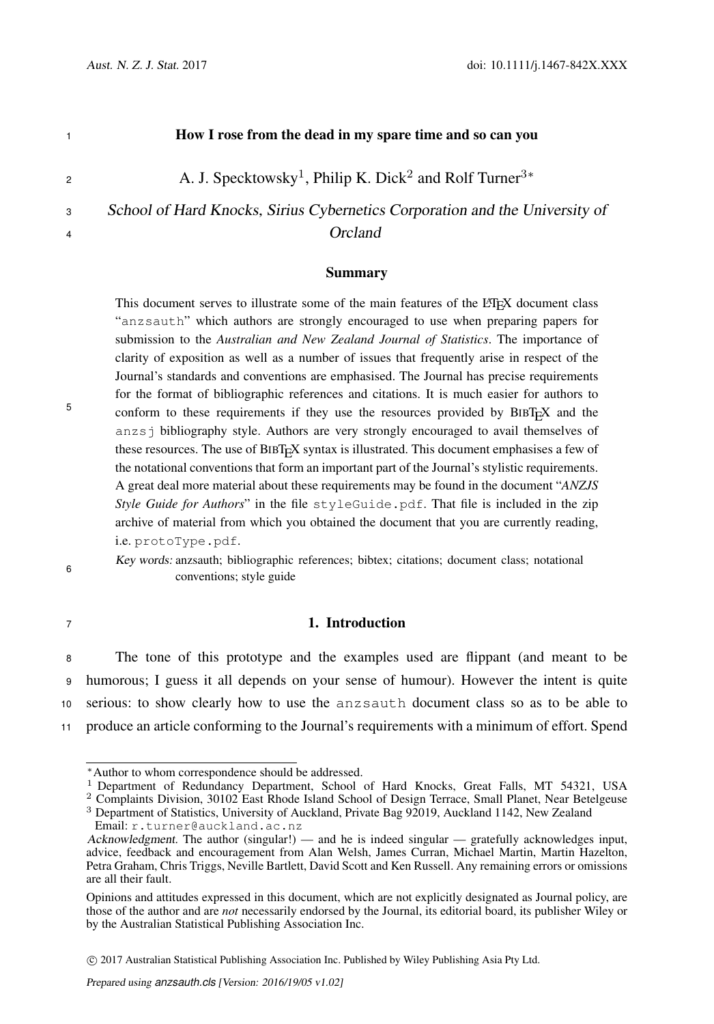5

|                | How I rose from the dead in my spare time and so can you                                   |
|----------------|--------------------------------------------------------------------------------------------|
| $\overline{2}$ | A. J. Specktowsky <sup>1</sup> , Philip K. Dick <sup>2</sup> and Rolf Turner <sup>3*</sup> |
| 3              | School of Hard Knocks, Sirius Cybernetics Corporation and the University of                |
| $\overline{4}$ | Orcland                                                                                    |

#### Summary

This document serves to illustrate some of the main features of the LHFX document class "anzsauth" which authors are strongly encouraged to use when preparing papers for submission to the *Australian and New Zealand Journal of Statistics*. The importance of clarity of exposition as well as a number of issues that frequently arise in respect of the Journal's standards and conventions are emphasised. The Journal has precise requirements for the format of bibliographic references and citations. It is much easier for authors to conform to these requirements if they use the resources provided by  $BIBT<sub>F</sub>X$  and the anzsj bibliography style. Authors are very strongly encouraged to avail themselves of these resources. The use of  $BIBT<sub>FA</sub>$  syntax is illustrated. This document emphasises a few of the notational conventions that form an important part of the Journal's stylistic requirements. A great deal more material about these requirements may be found in the document "*ANZJS Style Guide for Authors*" in the file styleGuide.pdf. That file is included in the zip archive of material from which you obtained the document that you are currently reading, i.e. protoType.pdf.

Key words: anzsauth; bibliographic references; bibtex; citations; document class; notational 6 conventions; style guide

# <sup>7</sup> 1. Introduction

 The tone of this prototype and the examples used are flippant (and meant to be humorous; I guess it all depends on your sense of humour). However the intent is quite serious: to show clearly how to use the anzsauth document class so as to be able to produce an article conforming to the Journal's requirements with a minimum of effort. Spend

<sup>∗</sup>Author to whom correspondence should be addressed.

<sup>&</sup>lt;sup>1</sup> Department of Redundancy Department, School of Hard Knocks, Great Falls, MT 54321, USA

<sup>2</sup> Complaints Division, 30102 East Rhode Island School of Design Terrace, Small Planet, Near Betelgeuse

<sup>3</sup> Department of Statistics, University of Auckland, Private Bag 92019, Auckland 1142, New Zealand Email: r.turner@auckland.ac.nz

Acknowledgment. The author (singular!) — and he is indeed singular — gratefully acknowledges input, advice, feedback and encouragement from Alan Welsh, James Curran, Michael Martin, Martin Hazelton, Petra Graham, Chris Triggs, Neville Bartlett, David Scott and Ken Russell. Any remaining errors or omissions are all their fault.

Opinions and attitudes expressed in this document, which are not explicitly designated as Journal policy, are those of the author and are *not* necessarily endorsed by the Journal, its editorial board, its publisher Wiley or by the Australian Statistical Publishing Association Inc.

c 2017 Australian Statistical Publishing Association Inc. Published by Wiley Publishing Asia Pty Ltd.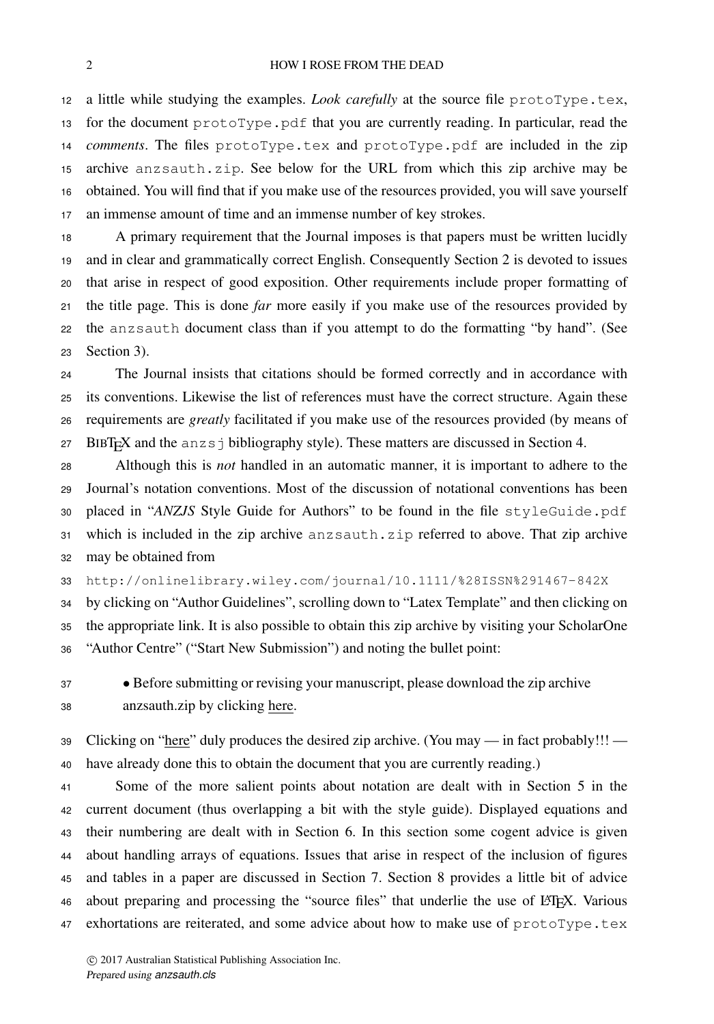a little while studying the examples. *Look carefully* at the source file protoType.tex, 13 for the document  $\text{protoType.pdf}$  that you are currently reading. In particular, read the *comments*. The files protoType.tex and protoType.pdf are included in the zip archive anzsauth.zip. See below for the URL from which this zip archive may be obtained. You will find that if you make use of the resources provided, you will save yourself an immense amount of time and an immense number of key strokes.

 A primary requirement that the Journal imposes is that papers must be written lucidly and in clear and grammatically correct English. Consequently Section 2 is devoted to issues that arise in respect of good exposition. Other requirements include proper formatting of the title page. This is done *far* more easily if you make use of the resources provided by the anzsauth document class than if you attempt to do the formatting "by hand". (See Section 3).

 The Journal insists that citations should be formed correctly and in accordance with its conventions. Likewise the list of references must have the correct structure. Again these requirements are *greatly* facilitated if you make use of the resources provided (by means of 27 BIBT<sub>E</sub>X and the anzs  $\dot{\rm}$  bibliography style). These matters are discussed in Section 4.

 Although this is *not* handled in an automatic manner, it is important to adhere to the Journal's notation conventions. Most of the discussion of notational conventions has been placed in "*ANZJS* Style Guide for Authors" to be found in the file styleGuide.pdf which is included in the zip archive anzsauth.zip referred to above. That zip archive may be obtained from

http://onlinelibrary.wiley.com/journal/10.1111/%28ISSN%291467-842X

 by clicking on "Author Guidelines", scrolling down to "Latex Template" and then clicking on the appropriate link. It is also possible to obtain this zip archive by visiting your ScholarOne "Author Centre" ("Start New Submission") and noting the bullet point:

 • Before submitting or revising your manuscript, please download the zip archive anzsauth.zip by clicking here.

39 Clicking on "here" duly produces the desired zip archive. (You may  $-$  in fact probably!!!  $-$ have already done this to obtain the document that you are currently reading.)

 Some of the more salient points about notation are dealt with in Section 5 in the current document (thus overlapping a bit with the style guide). Displayed equations and their numbering are dealt with in Section 6. In this section some cogent advice is given about handling arrays of equations. Issues that arise in respect of the inclusion of figures and tables in a paper are discussed in Section 7. Section 8 provides a little bit of advice 46 about preparing and processing the "source files" that underlie the use of LATEX. Various 47 exhortations are reiterated, and some advice about how to make use of protoType.tex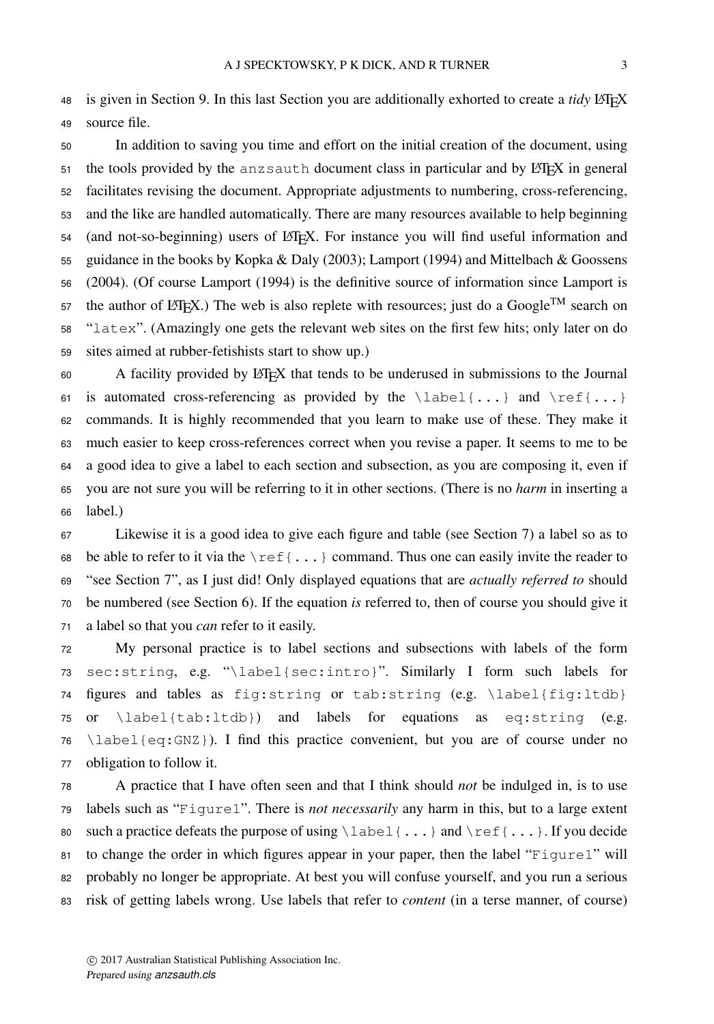48 is given in Section 9. In this last Section you are additionally exhorted to create a *tidy* LATEX source file.

 In addition to saving you time and effort on the initial creation of the document, using the tools provided by the anz sauth document class in particular and by LATEX in general facilitates revising the document. Appropriate adjustments to numbering, cross-referencing, and the like are handled automatically. There are many resources available to help beginning 54 (and not-so-beginning) users of LATEX. For instance you will find useful information and guidance in the books by Kopka & Daly (2003); Lamport (1994) and Mittelbach & Goossens (2004). (Of course Lamport (1994) is the definitive source of information since Lamport is 57 the author of LATEX.) The web is also replete with resources; just do a Google<sup>TM</sup> search on "latex". (Amazingly one gets the relevant web sites on the first few hits; only later on do sites aimed at rubber-fetishists start to show up.)

60 A facility provided by LATEX that tends to be underused in submissions to the Journal 61 is automated cross-referencing as provided by the  $\label{eq:1}$   $\lambda$  and  $\ref{...}$  commands. It is highly recommended that you learn to make use of these. They make it much easier to keep cross-references correct when you revise a paper. It seems to me to be a good idea to give a label to each section and subsection, as you are composing it, even if you are not sure you will be referring to it in other sections. (There is no *harm* in inserting a label.)

 Likewise it is a good idea to give each figure and table (see Section 7) a label so as to 68 be able to refer to it via the  $\lceil \cdot \cdot \rceil$ ...} command. Thus one can easily invite the reader to "see Section 7", as I just did! Only displayed equations that are *actually referred to* should be numbered (see Section 6). If the equation *is* referred to, then of course you should give it a label so that you *can* refer to it easily.

 My personal practice is to label sections and subsections with labels of the form sec:string, e.g. "\label{sec:intro}". Similarly I form such labels for figures and tables as fig:string or tab:string (e.g. \label{fig:ltdb} or \label{tab:ltdb}) and labels for equations as eq:string (e.g. 76 \label{eq:GNZ}). I find this practice convenient, but you are of course under no obligation to follow it.

 A practice that I have often seen and that I think should *not* be indulged in, is to use labels such as "Figure1". There is *not necessarily* any harm in this, but to a large extent 80 such a practice defeats the purpose of using  $\label{eq:1} \label{eq:1}$  and  $\ref{...}$ . If you decide 81 to change the order in which figures appear in your paper, then the label "Figure1" will probably no longer be appropriate. At best you will confuse yourself, and you run a serious risk of getting labels wrong. Use labels that refer to *content* (in a terse manner, of course)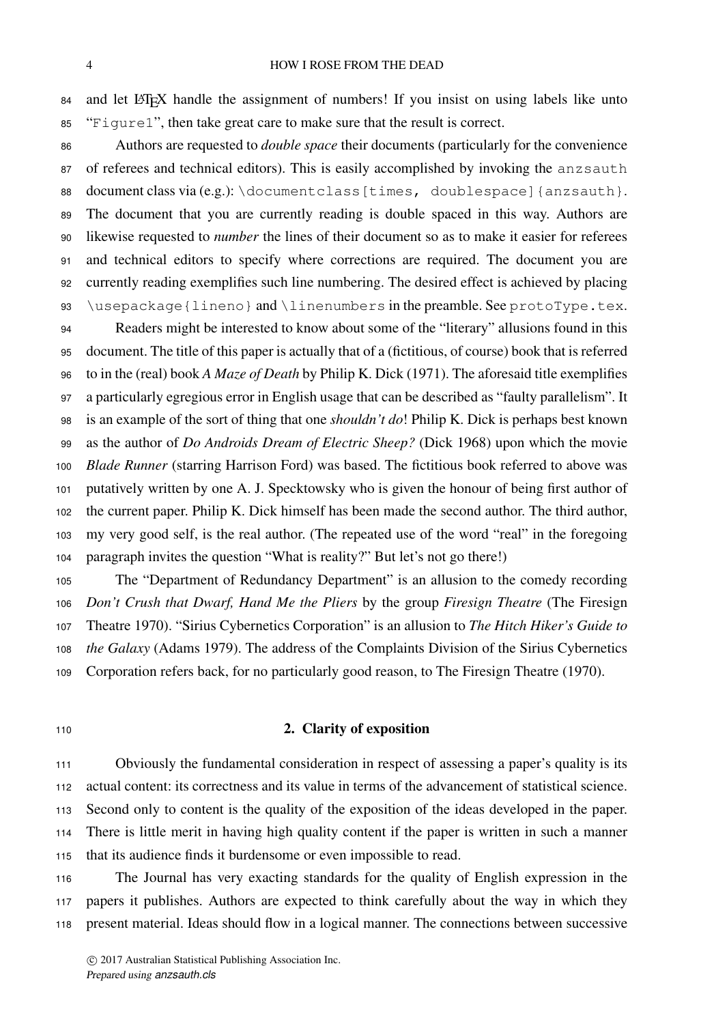#### 4 HOW I ROSE FROM THE DEAD

84 and let LATEX handle the assignment of numbers! If you insist on using labels like unto "Figure1", then take great care to make sure that the result is correct.

 Authors are requested to *double space* their documents (particularly for the convenience of referees and technical editors). This is easily accomplished by invoking the anzsauth 88 document class via  $(e.g.)$ : \documentclass [times, doublespace] {anzsauth}. The document that you are currently reading is double spaced in this way. Authors are likewise requested to *number* the lines of their document so as to make it easier for referees and technical editors to specify where corrections are required. The document you are currently reading exemplifies such line numbering. The desired effect is achieved by placing 93 \usepackage{lineno} and \linenumbers in the preamble. See protoType.tex. Readers might be interested to know about some of the "literary" allusions found in this document. The title of this paper is actually that of a (fictitious, of course) book that is referred to in the (real) book *A Maze of Death* by Philip K. Dick (1971). The aforesaid title exemplifies a particularly egregious error in English usage that can be described as "faulty parallelism". It is an example of the sort of thing that one *shouldn't do*! Philip K. Dick is perhaps best known

 as the author of *Do Androids Dream of Electric Sheep?* (Dick 1968) upon which the movie *Blade Runner* (starring Harrison Ford) was based. The fictitious book referred to above was putatively written by one A. J. Specktowsky who is given the honour of being first author of the current paper. Philip K. Dick himself has been made the second author. The third author, my very good self, is the real author. (The repeated use of the word "real" in the foregoing paragraph invites the question "What is reality?" But let's not go there!)

 The "Department of Redundancy Department" is an allusion to the comedy recording *Don't Crush that Dwarf, Hand Me the Pliers* by the group *Firesign Theatre* (The Firesign Theatre 1970). "Sirius Cybernetics Corporation" is an allusion to *The Hitch Hiker's Guide to the Galaxy* (Adams 1979). The address of the Complaints Division of the Sirius Cybernetics Corporation refers back, for no particularly good reason, to The Firesign Theatre (1970).

# 2. Clarity of exposition

 Obviously the fundamental consideration in respect of assessing a paper's quality is its actual content: its correctness and its value in terms of the advancement of statistical science. Second only to content is the quality of the exposition of the ideas developed in the paper. There is little merit in having high quality content if the paper is written in such a manner that its audience finds it burdensome or even impossible to read.

 The Journal has very exacting standards for the quality of English expression in the papers it publishes. Authors are expected to think carefully about the way in which they present material. Ideas should flow in a logical manner. The connections between successive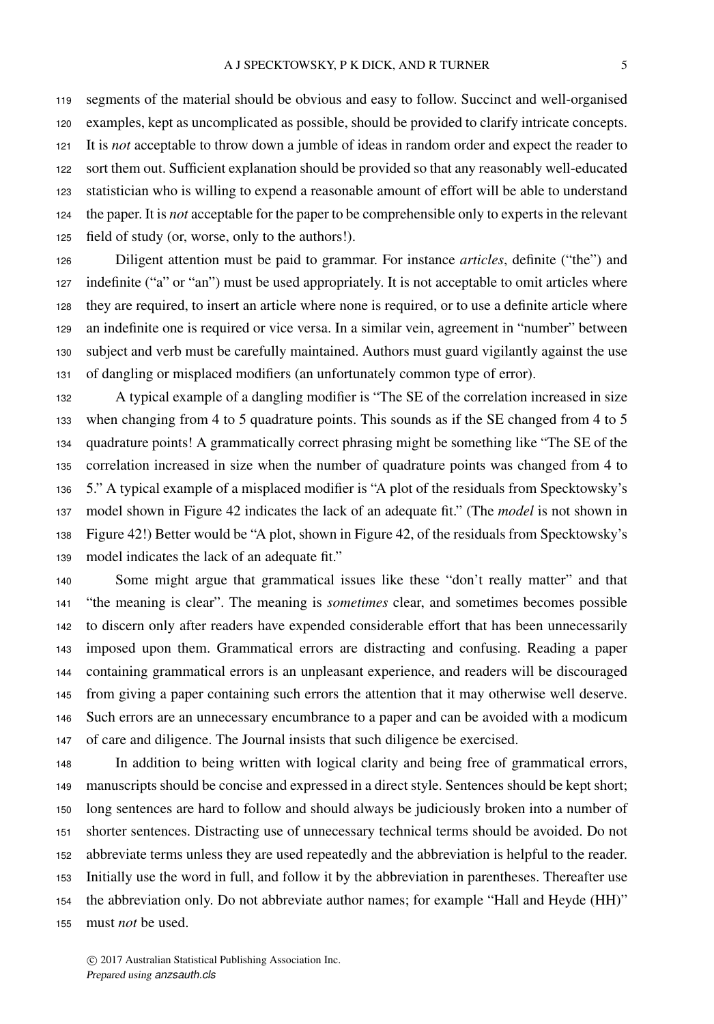segments of the material should be obvious and easy to follow. Succinct and well-organised examples, kept as uncomplicated as possible, should be provided to clarify intricate concepts. It is *not* acceptable to throw down a jumble of ideas in random order and expect the reader to sort them out. Sufficient explanation should be provided so that any reasonably well-educated statistician who is willing to expend a reasonable amount of effort will be able to understand the paper. It is *not* acceptable for the paper to be comprehensible only to experts in the relevant field of study (or, worse, only to the authors!).

 Diligent attention must be paid to grammar. For instance *articles*, definite ("the") and 127 indefinite ("a" or "an") must be used appropriately. It is not acceptable to omit articles where they are required, to insert an article where none is required, or to use a definite article where an indefinite one is required or vice versa. In a similar vein, agreement in "number" between subject and verb must be carefully maintained. Authors must guard vigilantly against the use of dangling or misplaced modifiers (an unfortunately common type of error).

 A typical example of a dangling modifier is "The SE of the correlation increased in size when changing from 4 to 5 quadrature points. This sounds as if the SE changed from 4 to 5 quadrature points! A grammatically correct phrasing might be something like "The SE of the correlation increased in size when the number of quadrature points was changed from 4 to 5." A typical example of a misplaced modifier is "A plot of the residuals from Specktowsky's model shown in Figure 42 indicates the lack of an adequate fit." (The *model* is not shown in Figure 42!) Better would be "A plot, shown in Figure 42, of the residuals from Specktowsky's model indicates the lack of an adequate fit."

 Some might argue that grammatical issues like these "don't really matter" and that "the meaning is clear". The meaning is *sometimes* clear, and sometimes becomes possible to discern only after readers have expended considerable effort that has been unnecessarily imposed upon them. Grammatical errors are distracting and confusing. Reading a paper containing grammatical errors is an unpleasant experience, and readers will be discouraged from giving a paper containing such errors the attention that it may otherwise well deserve. Such errors are an unnecessary encumbrance to a paper and can be avoided with a modicum of care and diligence. The Journal insists that such diligence be exercised.

 In addition to being written with logical clarity and being free of grammatical errors, manuscripts should be concise and expressed in a direct style. Sentences should be kept short; long sentences are hard to follow and should always be judiciously broken into a number of shorter sentences. Distracting use of unnecessary technical terms should be avoided. Do not abbreviate terms unless they are used repeatedly and the abbreviation is helpful to the reader. Initially use the word in full, and follow it by the abbreviation in parentheses. Thereafter use the abbreviation only. Do not abbreviate author names; for example "Hall and Heyde (HH)" must *not* be used.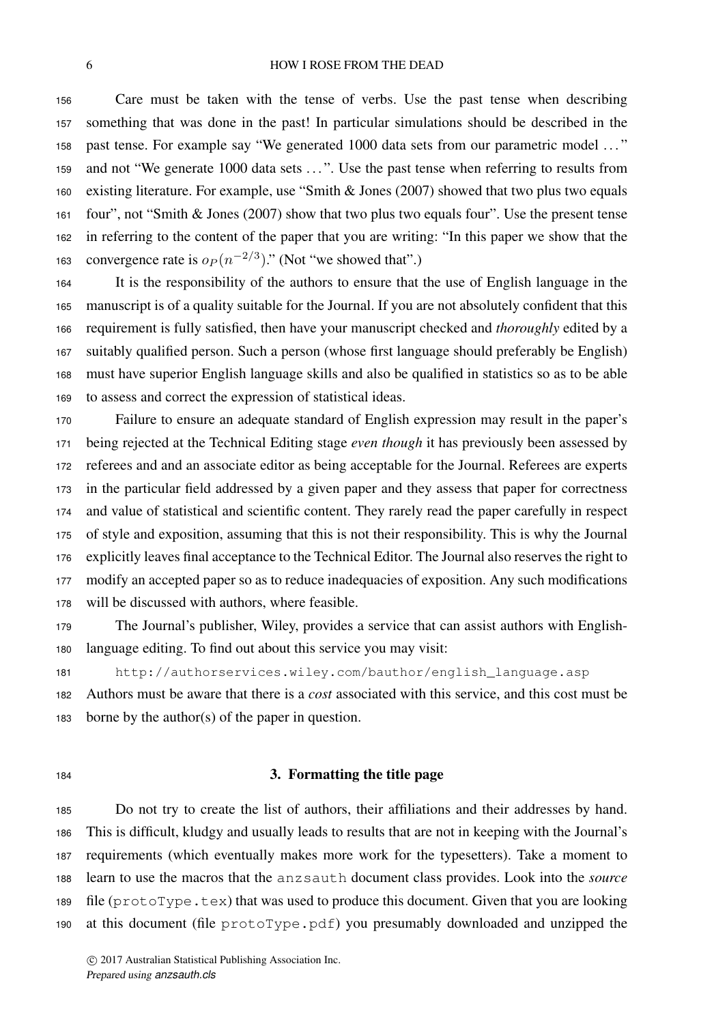#### 6 HOW I ROSE FROM THE DEAD

 Care must be taken with the tense of verbs. Use the past tense when describing something that was done in the past! In particular simulations should be described in the past tense. For example say "We generated 1000 data sets from our parametric model . . . " and not "We generate 1000 data sets . . . ". Use the past tense when referring to results from existing literature. For example, use "Smith & Jones (2007) showed that two plus two equals four", not "Smith & Jones (2007) show that two plus two equals four". Use the present tense in referring to the content of the paper that you are writing: "In this paper we show that the 163 convergence rate is  $o_P (n^{-2/3})$ ." (Not "we showed that".)

 It is the responsibility of the authors to ensure that the use of English language in the manuscript is of a quality suitable for the Journal. If you are not absolutely confident that this requirement is fully satisfied, then have your manuscript checked and *thoroughly* edited by a suitably qualified person. Such a person (whose first language should preferably be English) must have superior English language skills and also be qualified in statistics so as to be able to assess and correct the expression of statistical ideas.

 Failure to ensure an adequate standard of English expression may result in the paper's being rejected at the Technical Editing stage *even though* it has previously been assessed by referees and and an associate editor as being acceptable for the Journal. Referees are experts in the particular field addressed by a given paper and they assess that paper for correctness and value of statistical and scientific content. They rarely read the paper carefully in respect of style and exposition, assuming that this is not their responsibility. This is why the Journal explicitly leaves final acceptance to the Technical Editor. The Journal also reserves the right to modify an accepted paper so as to reduce inadequacies of exposition. Any such modifications will be discussed with authors, where feasible.

 The Journal's publisher, Wiley, provides a service that can assist authors with English-language editing. To find out about this service you may visit:

http://authorservices.wiley.com/bauthor/english\_language.asp

 Authors must be aware that there is a *cost* associated with this service, and this cost must be borne by the author(s) of the paper in question.

## 3. Formatting the title page

 Do not try to create the list of authors, their affiliations and their addresses by hand. This is difficult, kludgy and usually leads to results that are not in keeping with the Journal's requirements (which eventually makes more work for the typesetters). Take a moment to learn to use the macros that the anzsauth document class provides. Look into the *source* file (protoType.tex) that was used to produce this document. Given that you are looking at this document (file protoType.pdf) you presumably downloaded and unzipped the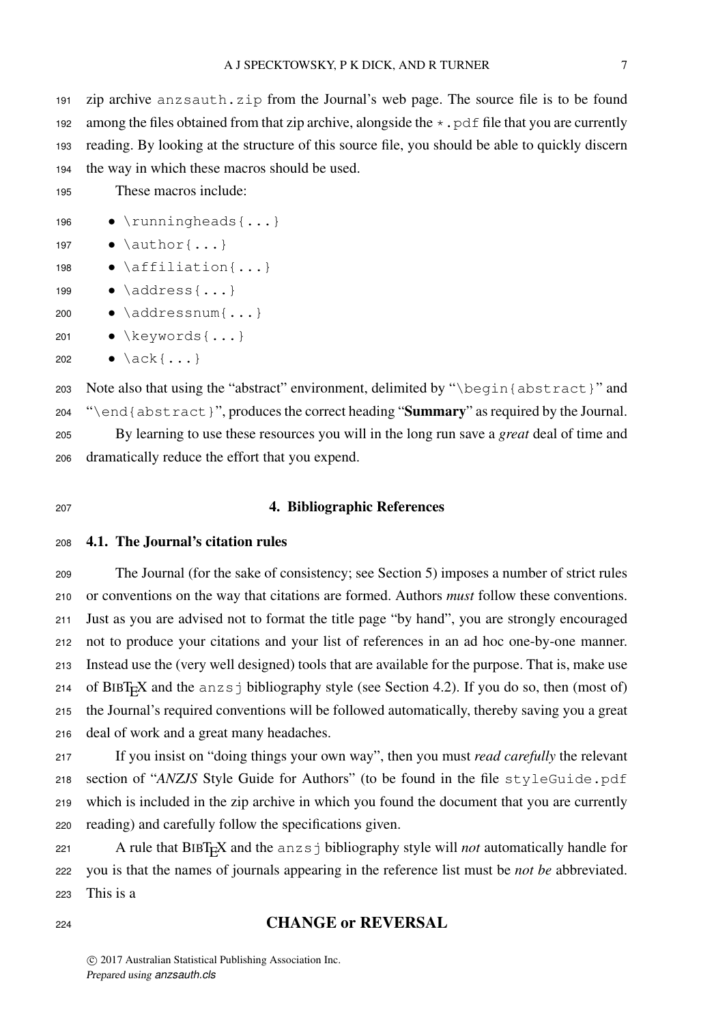zip archive anzsauth.zip from the Journal's web page. The source file is to be found 192 among the files obtained from that zip archive, alongside the  $\star$ ,  $\text{pdf}$  file that you are currently reading. By looking at the structure of this source file, you should be able to quickly discern the way in which these macros should be used.

These macros include:

- 196 \runningheads {...}
- 197  $\bullet$  \author{...}
- 198 \affiliation{...}
- 199  $\bullet$  \address{...}
- \addressnum{...}
- \keywords{...}
- $202 \qquad \bullet \ \ \backslash \ \text{ack} \ \{ \ldots \}$

 Note also that using the "abstract" environment, delimited by "\begin{abstract}" and "\end{abstract}", produces the correct heading "Summary" as required by the Journal. By learning to use these resources you will in the long run save a *great* deal of time and dramatically reduce the effort that you expend.

# 4. Bibliographic References

# 4.1. The Journal's citation rules

 The Journal (for the sake of consistency; see Section 5) imposes a number of strict rules or conventions on the way that citations are formed. Authors *must* follow these conventions. Just as you are advised not to format the title page "by hand", you are strongly encouraged not to produce your citations and your list of references in an ad hoc one-by-one manner. Instead use the (very well designed) tools that are available for the purpose. That is, make use 214 of BIBT<sub>F</sub>X and the anzs j bibliography style (see Section 4.2). If you do so, then (most of) the Journal's required conventions will be followed automatically, thereby saving you a great deal of work and a great many headaches.

 If you insist on "doing things your own way", then you must *read carefully* the relevant section of "*ANZJS* Style Guide for Authors" (to be found in the file styleGuide.pdf which is included in the zip archive in which you found the document that you are currently reading) and carefully follow the specifications given.

221 **Example 121** A rule that  $BIBT<sub>F</sub>X$  and the anzs j bibliography style will *not* automatically handle for you is that the names of journals appearing in the reference list must be *not be* abbreviated. This is a

# CHANGE or REVERSAL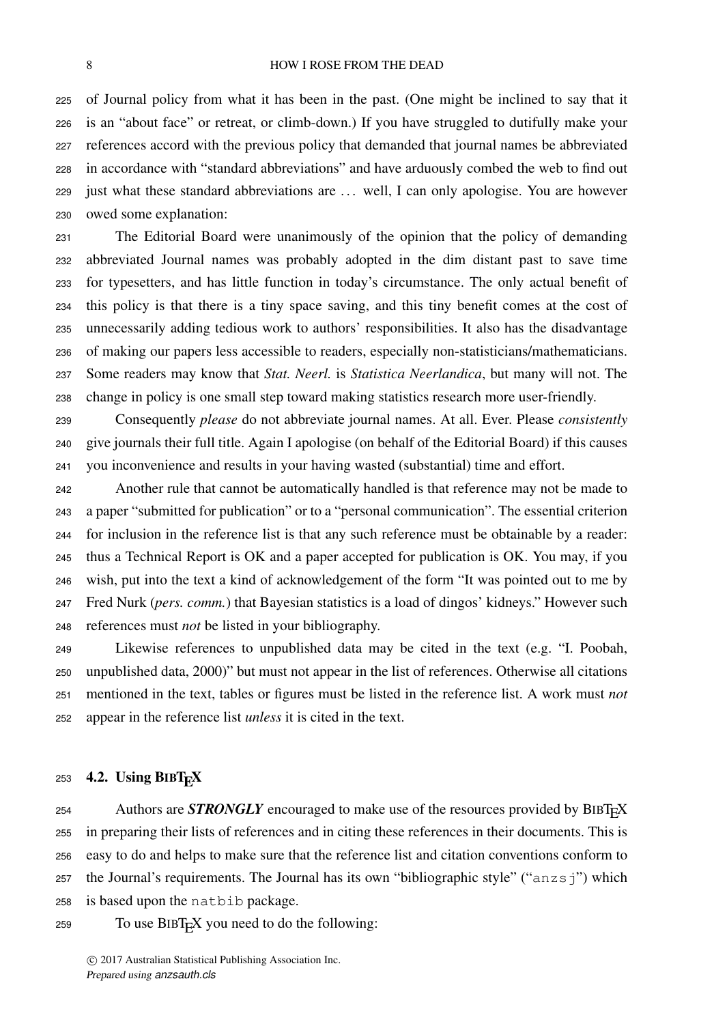of Journal policy from what it has been in the past. (One might be inclined to say that it is an "about face" or retreat, or climb-down.) If you have struggled to dutifully make your references accord with the previous policy that demanded that journal names be abbreviated in accordance with "standard abbreviations" and have arduously combed the web to find out just what these standard abbreviations are . . . well, I can only apologise. You are however owed some explanation:

 The Editorial Board were unanimously of the opinion that the policy of demanding abbreviated Journal names was probably adopted in the dim distant past to save time for typesetters, and has little function in today's circumstance. The only actual benefit of this policy is that there is a tiny space saving, and this tiny benefit comes at the cost of unnecessarily adding tedious work to authors' responsibilities. It also has the disadvantage of making our papers less accessible to readers, especially non-statisticians/mathematicians. Some readers may know that *Stat. Neerl.* is *Statistica Neerlandica*, but many will not. The change in policy is one small step toward making statistics research more user-friendly.

 Consequently *please* do not abbreviate journal names. At all. Ever. Please *consistently* give journals their full title. Again I apologise (on behalf of the Editorial Board) if this causes you inconvenience and results in your having wasted (substantial) time and effort.

 Another rule that cannot be automatically handled is that reference may not be made to a paper "submitted for publication" or to a "personal communication". The essential criterion for inclusion in the reference list is that any such reference must be obtainable by a reader: thus a Technical Report is OK and a paper accepted for publication is OK. You may, if you wish, put into the text a kind of acknowledgement of the form "It was pointed out to me by Fred Nurk (*pers. comm.*) that Bayesian statistics is a load of dingos' kidneys." However such references must *not* be listed in your bibliography.

 Likewise references to unpublished data may be cited in the text (e.g. "I. Poobah, unpublished data, 2000)" but must not appear in the list of references. Otherwise all citations mentioned in the text, tables or figures must be listed in the reference list. A work must *not* appear in the reference list *unless* it is cited in the text.

# 253 4.2. Using  $BIBT<sub>F</sub>X$

254 Authors are **STRONGLY** encouraged to make use of the resources provided by BIBT<sub>E</sub>X in preparing their lists of references and in citing these references in their documents. This is easy to do and helps to make sure that the reference list and citation conventions conform to the Journal's requirements. The Journal has its own "bibliographic style" ("anzsj") which is based upon the natbib package.

To use BIBT<sub>E</sub>X you need to do the following: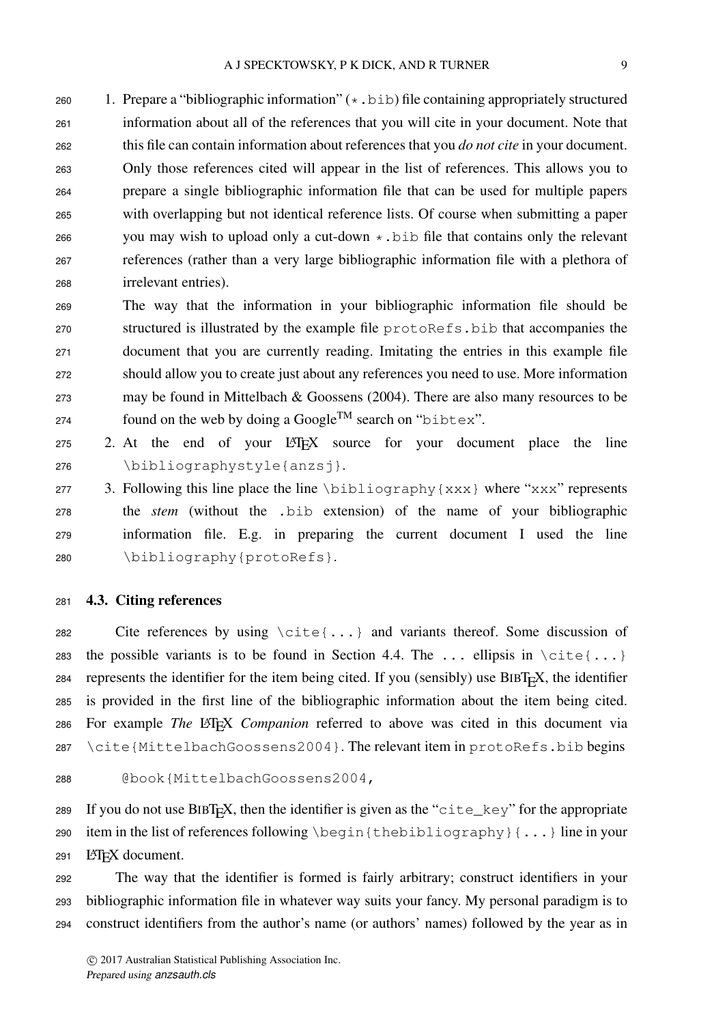260 1. Prepare a "bibliographic information"  $(*$ . bib) file containing appropriately structured information about all of the references that you will cite in your document. Note that this file can contain information about references that you *do not cite* in your document. Only those references cited will appear in the list of references. This allows you to prepare a single bibliographic information file that can be used for multiple papers with overlapping but not identical reference lists. Of course when submitting a paper 266 you may wish to upload only a cut-down  $\star$ . bib file that contains only the relevant references (rather than a very large bibliographic information file with a plethora of irrelevant entries).

 The way that the information in your bibliographic information file should be structured is illustrated by the example file protoRefs.bib that accompanies the document that you are currently reading. Imitating the entries in this example file should allow you to create just about any references you need to use. More information may be found in Mittelbach & Goossens (2004). There are also many resources to be found on the web by doing a Google<sup>TM</sup> search on "bibtex".

 2. At the end of your LATEX source for your document place the line \bibliographystyle{anzsj}.

277 3. Following this line place the line  $\bmod$  {xxx} where "xxx" represents the *stem* (without the .bib extension) of the name of your bibliographic information file. E.g. in preparing the current document I used the line \bibliography{protoRefs}.

# 4.3. Citing references

282 Cite references by using  $\cite\dots}$  and variants thereof. Some discussion of 283 the possible variants is to be found in Section 4.4. The ... ellipsis in  $\text{cite}$ ...} represents the identifier for the item being cited. If you (sensibly) use BIBT<sub>E</sub>X, the identifier is provided in the first line of the bibliographic information about the item being cited. For example *The* LATEX *Companion* referred to above was cited in this document via \cite{MittelbachGoossens2004}. The relevant item in protoRefs.bib begins

@book{MittelbachGoossens2004,

289 If you do not use  $BIBT<sub>F</sub>X$ , then the identifier is given as the "cite\_key" for the appropriate item in the list of references following \begin{thebibliography}{...} line in your 291 LAT<sub>EX</sub> document.

 The way that the identifier is formed is fairly arbitrary; construct identifiers in your bibliographic information file in whatever way suits your fancy. My personal paradigm is to construct identifiers from the author's name (or authors' names) followed by the year as in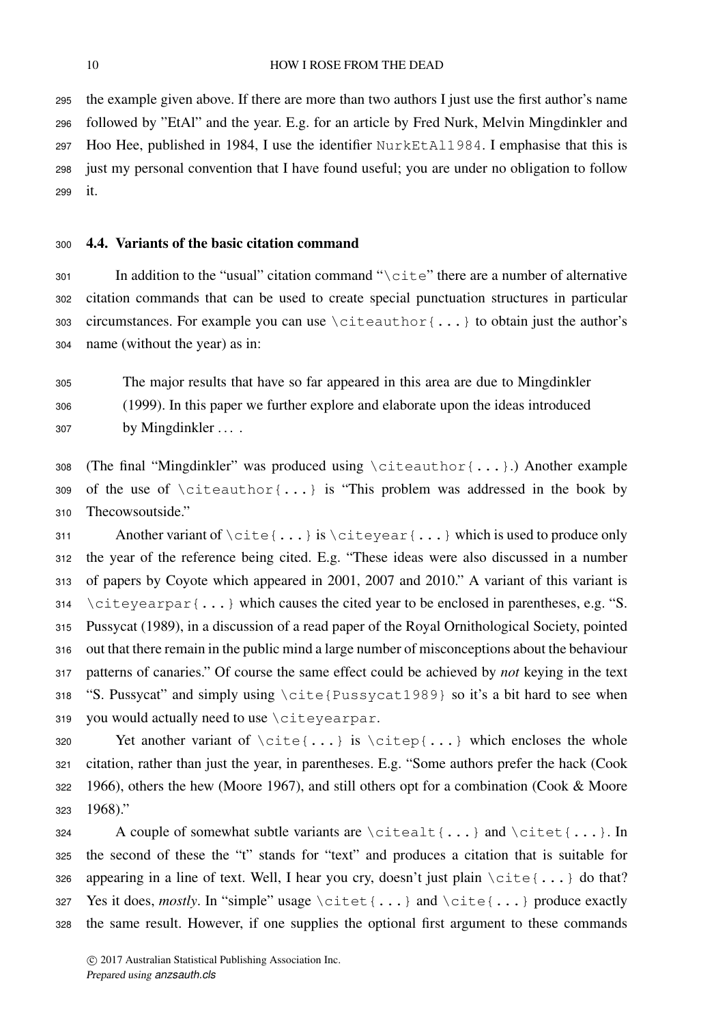the example given above. If there are more than two authors I just use the first author's name followed by "EtAl" and the year. E.g. for an article by Fred Nurk, Melvin Mingdinkler and Hoo Hee, published in 1984, I use the identifier NurkEtAl1984. I emphasise that this is just my personal convention that I have found useful; you are under no obligation to follow it.

# 4.4. Variants of the basic citation command

301 In addition to the "usual" citation command " $\text{cis}$  there are a number of alternative citation commands that can be used to create special punctuation structures in particular 303 circumstances. For example you can use  $\c{either}$ ...} to obtain just the author's name (without the year) as in:

 The major results that have so far appeared in this area are due to Mingdinkler (1999). In this paper we further explore and elaborate upon the ideas introduced 307 by Mingdinkler ....

 (The final "Mingdinkler" was produced using \citeauthor{...}.) Another example 309 of the use of  $\clap{\c{...}}$  is "This problem was addressed in the book by Thecowsoutside."

 Another variant of \cite{...} is \citeyear{...} which is used to produce only the year of the reference being cited. E.g. "These ideas were also discussed in a number of papers by Coyote which appeared in 2001, 2007 and 2010." A variant of this variant is  $314 \text{ } \c{either}$   $\c{...}$  which causes the cited year to be enclosed in parentheses, e.g. "S. Pussycat (1989), in a discussion of a read paper of the Royal Ornithological Society, pointed out that there remain in the public mind a large number of misconceptions about the behaviour patterns of canaries." Of course the same effect could be achieved by *not* keying in the text "S. Pussycat" and simply using \cite{Pussycat1989} so it's a bit hard to see when you would actually need to use \citeyearpar.

320 Yet another variant of  $\cite{...}$  is  $\cite{...}$  which encloses the whole citation, rather than just the year, in parentheses. E.g. "Some authors prefer the hack (Cook 1966), others the hew (Moore 1967), and still others opt for a combination (Cook & Moore 1968)."

324 A couple of somewhat subtle variants are  $\cit$  citealt {...} and  $\cit$  tet {...}. In the second of these the "t" stands for "text" and produces a citation that is suitable for 326 appearing in a line of text. Well, I hear you cry, doesn't just plain  $\text{cite}$ ...} do that? 327 Yes it does, *mostly*. In "simple" usage \citet{...} and \cite{...} produce exactly the same result. However, if one supplies the optional first argument to these commands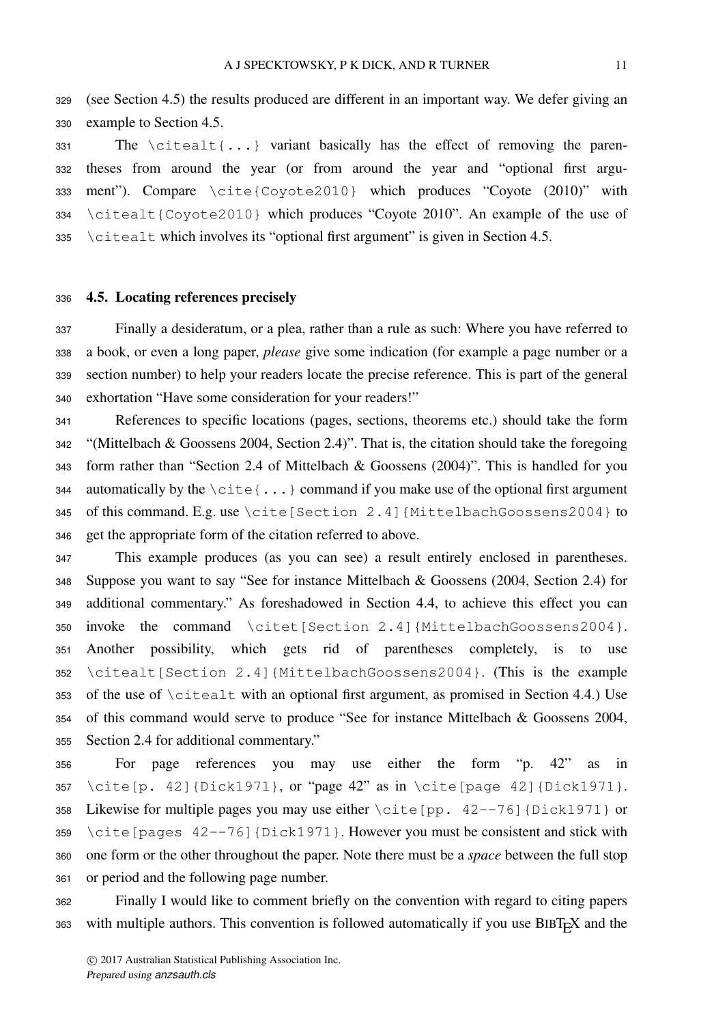(see Section 4.5) the results produced are different in an important way. We defer giving an example to Section 4.5.

331 The  $\c{either} \ldots$  variant basically has the effect of removing the paren- theses from around the year (or from around the year and "optional first argu- ment"). Compare \cite{Coyote2010} which produces "Coyote (2010)" with \citealt{Coyote2010} which produces "Coyote 2010". An example of the use of \citealt which involves its "optional first argument" is given in Section 4.5.

## 4.5. Locating references precisely

 Finally a desideratum, or a plea, rather than a rule as such: Where you have referred to a book, or even a long paper, *please* give some indication (for example a page number or a section number) to help your readers locate the precise reference. This is part of the general exhortation "Have some consideration for your readers!"

 References to specific locations (pages, sections, theorems etc.) should take the form "(Mittelbach & Goossens 2004, Section 2.4)". That is, the citation should take the foregoing form rather than "Section 2.4 of Mittelbach & Goossens (2004)". This is handled for you 344 automatically by the  $\text{cite}\{\ldots\}$  command if you make use of the optional first argument of this command. E.g. use \cite[Section 2.4]{MittelbachGoossens2004} to get the appropriate form of the citation referred to above.

 This example produces (as you can see) a result entirely enclosed in parentheses. Suppose you want to say "See for instance Mittelbach & Goossens (2004, Section 2.4) for additional commentary." As foreshadowed in Section 4.4, to achieve this effect you can invoke the command \citet[Section 2.4]{MittelbachGoossens2004}. Another possibility, which gets rid of parentheses completely, is to use \citealt[Section 2.4]{MittelbachGoossens2004}. (This is the example of the use of \citealt with an optional first argument, as promised in Section 4.4.) Use of this command would serve to produce "See for instance Mittelbach & Goossens 2004, Section 2.4 for additional commentary."

 For page references you may use either the form "p. 42" as in 357 \cite[p. 42]{Dick1971}, or "page 42" as in \cite[page 42]{Dick1971}. Likewise for multiple pages you may use either \cite[pp. 42--76]{Dick1971} or 359 \cite [pages  $42--76$ ] {Dick1971}. However you must be consistent and stick with one form or the other throughout the paper. Note there must be a *space* between the full stop or period and the following page number.

 Finally I would like to comment briefly on the convention with regard to citing papers 363 with multiple authors. This convention is followed automatically if you use BIBT<sub>E</sub>X and the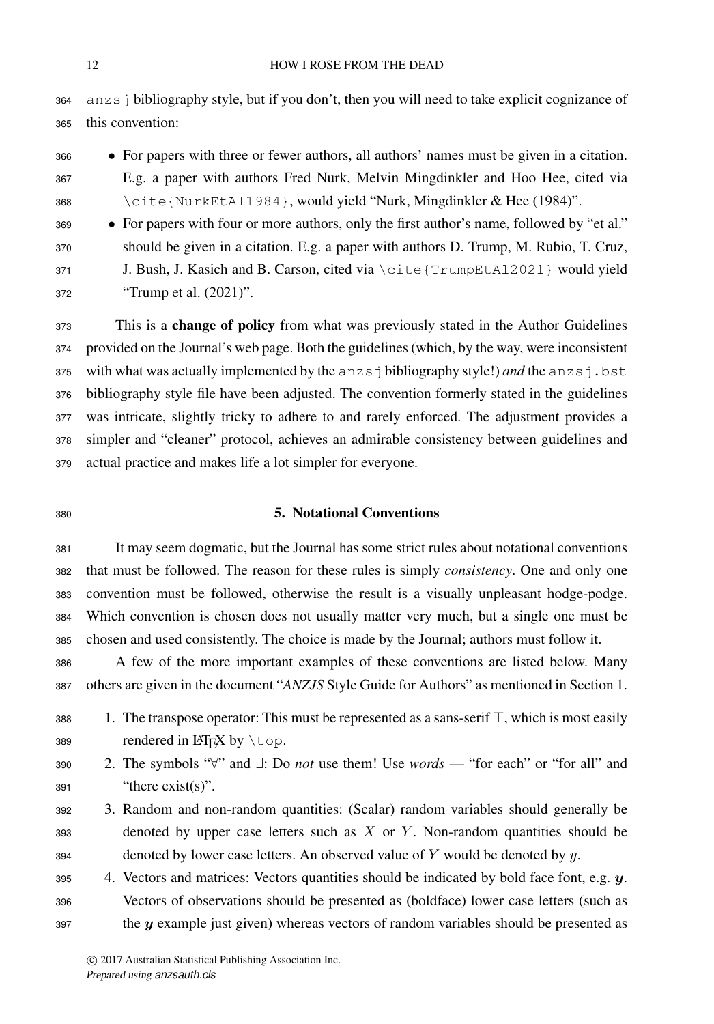anzsj bibliography style, but if you don't, then you will need to take explicit cognizance of this convention:

- For papers with three or fewer authors, all authors' names must be given in a citation. E.g. a paper with authors Fred Nurk, Melvin Mingdinkler and Hoo Hee, cited via \cite{NurkEtAl1984}, would yield "Nurk, Mingdinkler & Hee (1984)".
- For papers with four or more authors, only the first author's name, followed by "et al." should be given in a citation. E.g. a paper with authors D. Trump, M. Rubio, T. Cruz, J. Bush, J. Kasich and B. Carson, cited via \cite{TrumpEtAl2021} would yield "Trump et al. (2021)".

 This is a change of policy from what was previously stated in the Author Guidelines provided on the Journal's web page. Both the guidelines (which, by the way, were inconsistent 375 with what was actually implemented by the anzs j bibliography style!) *and* the anzs j.bst bibliography style file have been adjusted. The convention formerly stated in the guidelines was intricate, slightly tricky to adhere to and rarely enforced. The adjustment provides a simpler and "cleaner" protocol, achieves an admirable consistency between guidelines and actual practice and makes life a lot simpler for everyone.

## 5. Notational Conventions

 It may seem dogmatic, but the Journal has some strict rules about notational conventions that must be followed. The reason for these rules is simply *consistency*. One and only one convention must be followed, otherwise the result is a visually unpleasant hodge-podge. Which convention is chosen does not usually matter very much, but a single one must be chosen and used consistently. The choice is made by the Journal; authors must follow it.

 A few of the more important examples of these conventions are listed below. Many others are given in the document "*ANZJS* Style Guide for Authors" as mentioned in Section 1.

- 388 1. The transpose operator: This must be represented as a sans-serif  $\top$ , which is most easily 389 rendered in  $\angle$ ET<sub>E</sub>X by \top.
- 

 2. The symbols "∀" and ∃: Do *not* use them! Use *words* — "for each" or "for all" and "there exist(s)".

- 3. Random and non-random quantities: (Scalar) random variables should generally be denoted by upper case letters such as X or Y. Non-random quantities should be 394 denoted by lower case letters. An observed value of  $Y$  would be denoted by  $y$ .
- 4. Vectors and matrices: Vectors quantities should be indicated by bold face font, e.g.  $y$ . Vectors of observations should be presented as (boldface) lower case letters (such as the  $y$  example just given) whereas vectors of random variables should be presented as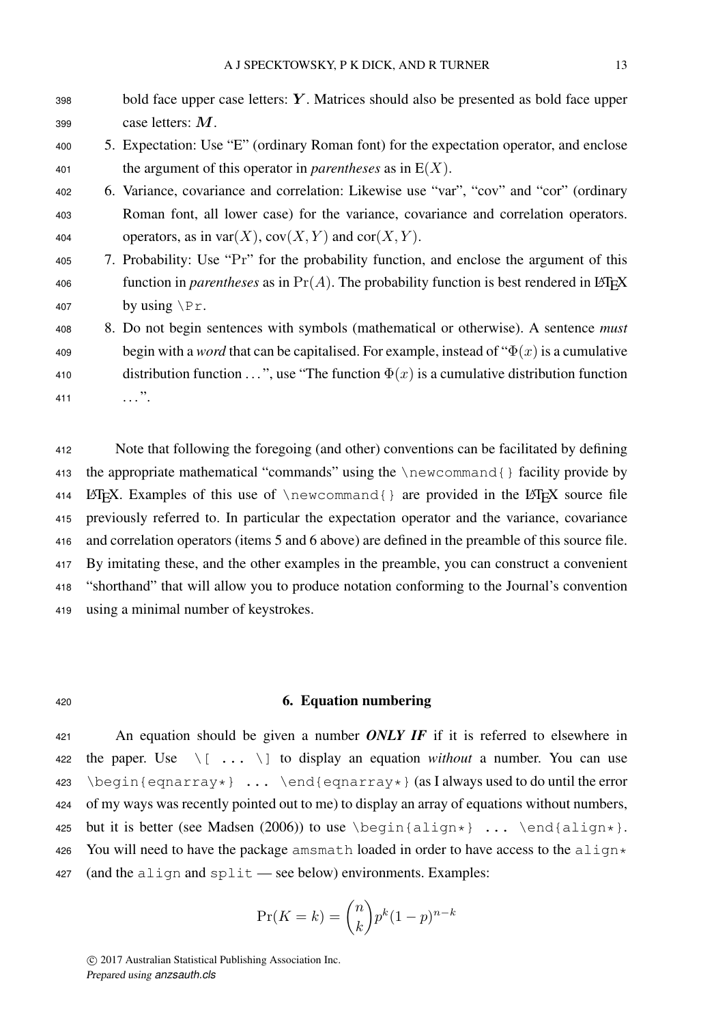| 398 | bold face upper case letters: Y. Matrices should also be presented as bold face upper                          |
|-----|----------------------------------------------------------------------------------------------------------------|
| 399 | case letters: $M$ .                                                                                            |
| 400 | 5. Expectation: Use "E" (ordinary Roman font) for the expectation operator, and enclose                        |
| 401 | the argument of this operator in <i>parentheses</i> as in $E(X)$ .                                             |
| 402 | 6. Variance, covariance and correlation: Likewise use "var", "cov" and "cor" (ordinary                         |
| 403 | Roman font, all lower case) for the variance, covariance and correlation operators.                            |
| 404 | operators, as in var $(X)$ , $cov(X, Y)$ and $cov(X, Y)$ .                                                     |
| 405 | 7. Probability: Use "Pr" for the probability function, and enclose the argument of this                        |
| 406 | function in <i>parentheses</i> as in $Pr(A)$ . The probability function is best rendered in LAT <sub>E</sub> X |
| 407 | by using $\Pr$ .                                                                                               |
| 408 | 8. Do not begin sentences with symbols (mathematical or otherwise). A sentence <i>must</i>                     |
| 409 | begin with a <i>word</i> that can be capitalised. For example, instead of " $\Phi(x)$ is a cumulative          |
| 410 | distribution function ", use "The function $\Phi(x)$ is a cumulative distribution function                     |
| 411 |                                                                                                                |

 Note that following the foregoing (and other) conventions can be facilitated by defining the appropriate mathematical "commands" using the \newcommand{} facility provide by 414 LATEX. Examples of this use of  $\newcommand{\}$  \newcommand{} are provided in the LATEX source file previously referred to. In particular the expectation operator and the variance, covariance and correlation operators (items 5 and 6 above) are defined in the preamble of this source file. By imitating these, and the other examples in the preamble, you can construct a convenient "shorthand" that will allow you to produce notation conforming to the Journal's convention using a minimal number of keystrokes.

### <sup>420</sup> 6. Equation numbering

<sup>421</sup> An equation should be given a number *ONLY IF* if it is referred to elsewhere in 422 the paper. Use  $\setminus$  [ ...  $\setminus$  ] to display an equation *without* a number. You can use 423 \begin{eqnarray\*} ... \end{eqnarray\*} (as I always used to do until the error <sup>424</sup> of my ways was recently pointed out to me) to display an array of equations without numbers, 425 but it is better (see Madsen (2006)) to use  $\begin{array}{ccc} \text{aligned} & \ldots & \end{array}$ ...  $\end{array}$ 426 You will need to have the package amsmath loaded in order to have access to the align $\star$ 427 (and the align and split — see below) environments. Examples:

$$
\Pr(K=k) = \binom{n}{k} p^k (1-p)^{n-k}
$$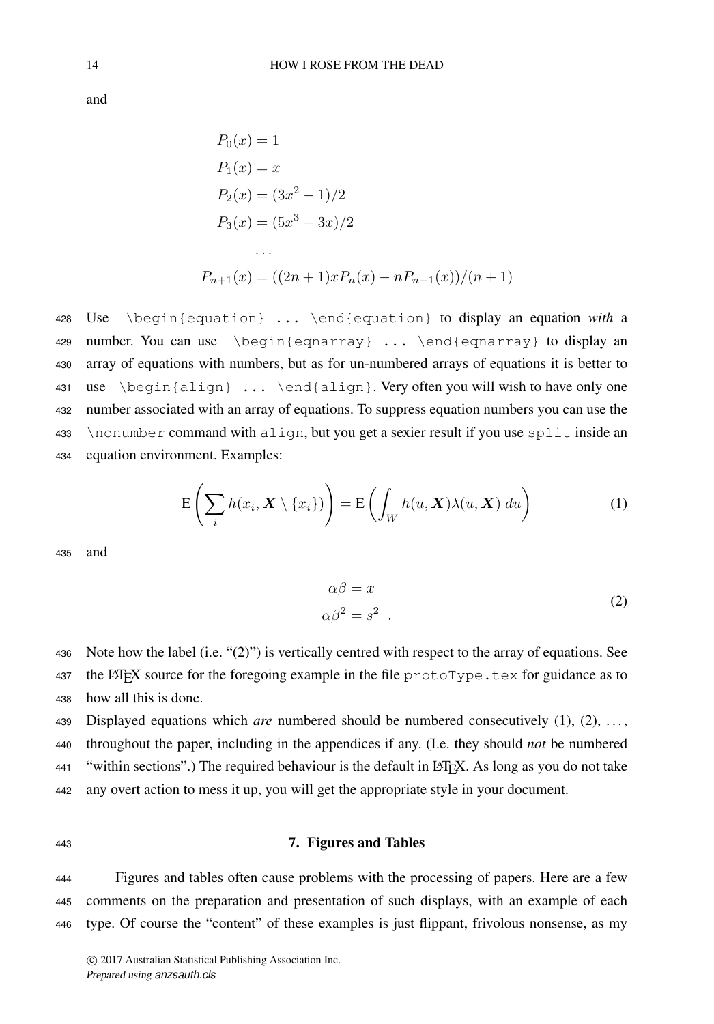and

$$
P_0(x) = 1
$$
  
\n
$$
P_1(x) = x
$$
  
\n
$$
P_2(x) = (3x^2 - 1)/2
$$
  
\n
$$
P_3(x) = (5x^3 - 3x)/2
$$
  
\n...  
\n
$$
P_{n+1}(x) = ((2n + 1)xP_n(x) - nP_{n-1}(x))/(n + 1)
$$

 Use \begin{equation} ... \end{equation} to display an equation *with* a 429 number. You can use \begin{eqnarray} ... \end{eqnarray} to display an array of equations with numbers, but as for un-numbered arrays of equations it is better to use \begin{align} ... \end{align}. Very often you will wish to have only one number associated with an array of equations. To suppress equation numbers you can use the \nonumber command with align, but you get a sexier result if you use split inside an equation environment. Examples:

$$
\mathcal{E}\left(\sum_{i} h(x_i, \boldsymbol{X} \setminus \{x_i\})\right) = \mathcal{E}\left(\int_W h(u, \boldsymbol{X})\lambda(u, \boldsymbol{X}) du\right)
$$
(1)

<sup>435</sup> and

$$
\alpha \beta = \bar{x}
$$
  
\n
$$
\alpha \beta^2 = s^2
$$
\n(2)

<sup>436</sup> Note how the label (i.e. "(2)") is vertically centred with respect to the array of equations. See 437 the LATEX source for the foregoing example in the file  $\text{protorype}.\text{tex}$  tex for guidance as to <sup>438</sup> how all this is done.

439 Displayed equations which *are* numbered should be numbered consecutively (1), (2), ..., throughout the paper, including in the appendices if any. (I.e. they should *not* be numbered "within sections".) The required behaviour is the default in LATEX. As long as you do not take any overt action to mess it up, you will get the appropriate style in your document.

#### <sup>443</sup> 7. Figures and Tables

<sup>444</sup> Figures and tables often cause problems with the processing of papers. Here are a few <sup>445</sup> comments on the preparation and presentation of such displays, with an example of each <sup>446</sup> type. Of course the "content" of these examples is just flippant, frivolous nonsense, as my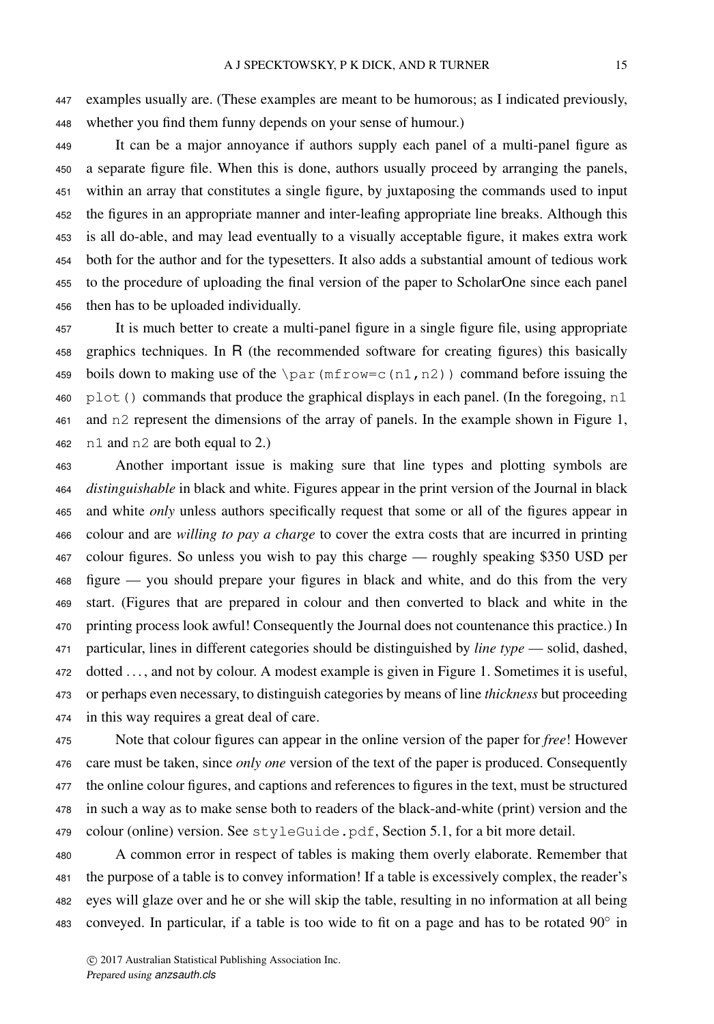examples usually are. (These examples are meant to be humorous; as I indicated previously, whether you find them funny depends on your sense of humour.)

 It can be a major annoyance if authors supply each panel of a multi-panel figure as a separate figure file. When this is done, authors usually proceed by arranging the panels, within an array that constitutes a single figure, by juxtaposing the commands used to input the figures in an appropriate manner and inter-leafing appropriate line breaks. Although this is all do-able, and may lead eventually to a visually acceptable figure, it makes extra work both for the author and for the typesetters. It also adds a substantial amount of tedious work to the procedure of uploading the final version of the paper to ScholarOne since each panel then has to be uploaded individually.

 It is much better to create a multi-panel figure in a single figure file, using appropriate graphics techniques. In R (the recommended software for creating figures) this basically 459 boils down to making use of the  $\parrow$ par(mfrow=c(n1,n2)) command before issuing the 460 plot() commands that produce the graphical displays in each panel. (In the foregoing, n1 and n2 represent the dimensions of the array of panels. In the example shown in Figure 1, n1 and n2 are both equal to 2.)

 Another important issue is making sure that line types and plotting symbols are *distinguishable* in black and white. Figures appear in the print version of the Journal in black and white *only* unless authors specifically request that some or all of the figures appear in colour and are *willing to pay a charge* to cover the extra costs that are incurred in printing colour figures. So unless you wish to pay this charge — roughly speaking \$350 USD per figure — you should prepare your figures in black and white, and do this from the very start. (Figures that are prepared in colour and then converted to black and white in the printing process look awful! Consequently the Journal does not countenance this practice.) In particular, lines in different categories should be distinguished by *line type* — solid, dashed, dotted . . . , and not by colour. A modest example is given in Figure 1. Sometimes it is useful, or perhaps even necessary, to distinguish categories by means of line *thickness* but proceeding in this way requires a great deal of care.

 Note that colour figures can appear in the online version of the paper for *free*! However care must be taken, since *only one* version of the text of the paper is produced. Consequently the online colour figures, and captions and references to figures in the text, must be structured in such a way as to make sense both to readers of the black-and-white (print) version and the colour (online) version. See styleGuide.pdf, Section 5.1, for a bit more detail.

 A common error in respect of tables is making them overly elaborate. Remember that the purpose of a table is to convey information! If a table is excessively complex, the reader's eyes will glaze over and he or she will skip the table, resulting in no information at all being 483 conveyed. In particular, if a table is too wide to fit on a page and has to be rotated  $90^\circ$  in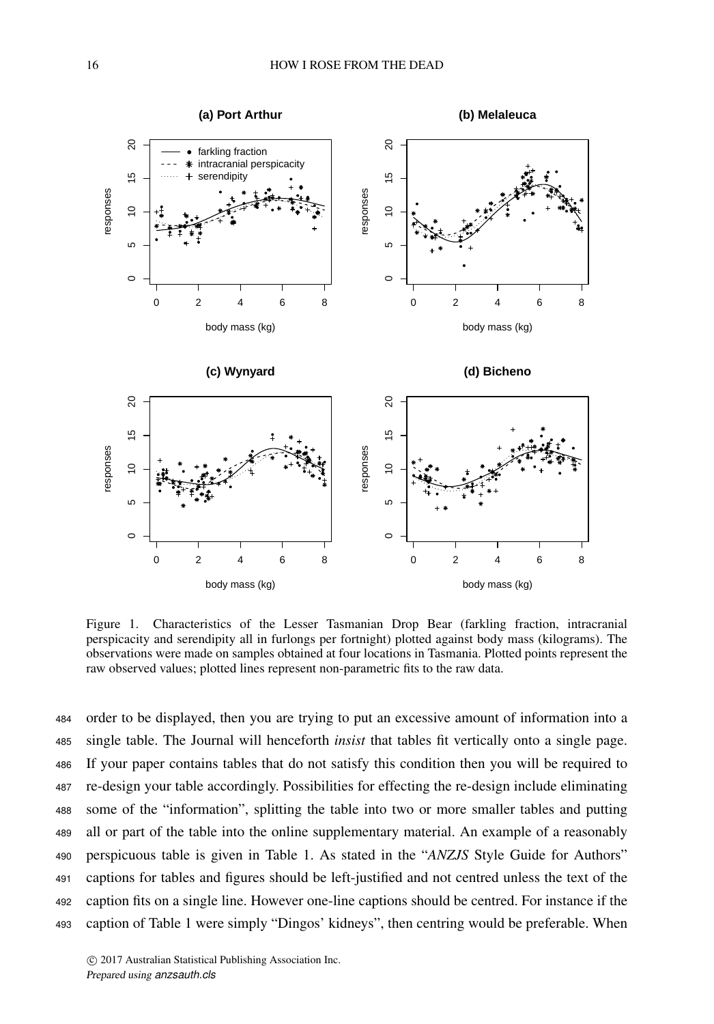

Figure 1. Characteristics of the Lesser Tasmanian Drop Bear (farkling fraction, intracranial perspicacity and serendipity all in furlongs per fortnight) plotted against body mass (kilograms). The observations were made on samples obtained at four locations in Tasmania. Plotted points represent the raw observed values; plotted lines represent non-parametric fits to the raw data.

 order to be displayed, then you are trying to put an excessive amount of information into a single table. The Journal will henceforth *insist* that tables fit vertically onto a single page. If your paper contains tables that do not satisfy this condition then you will be required to re-design your table accordingly. Possibilities for effecting the re-design include eliminating some of the "information", splitting the table into two or more smaller tables and putting all or part of the table into the online supplementary material. An example of a reasonably perspicuous table is given in Table 1. As stated in the "*ANZJS* Style Guide for Authors" captions for tables and figures should be left-justified and not centred unless the text of the caption fits on a single line. However one-line captions should be centred. For instance if the caption of Table 1 were simply "Dingos' kidneys", then centring would be preferable. When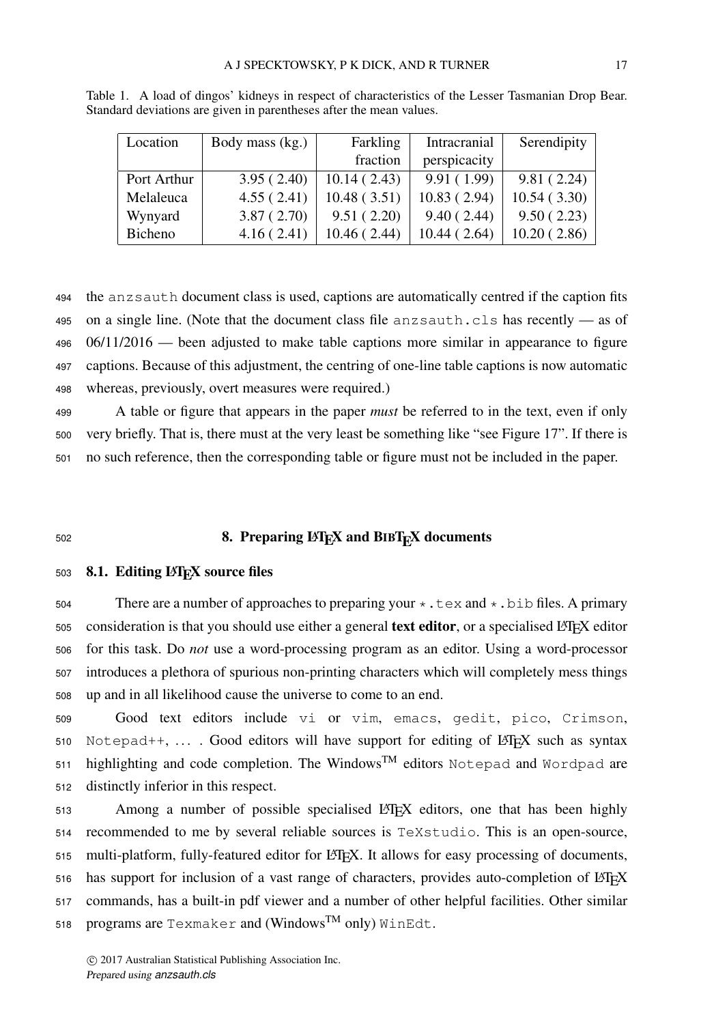| Location    | Body mass (kg.) | Farkling     | Intracranial | Serendipity |
|-------------|-----------------|--------------|--------------|-------------|
|             |                 | fraction     | perspicacity |             |
| Port Arthur | 3.95(2.40)      | 10.14(2.43)  | 9.91(1.99)   | 9.81(2.24)  |
| Melaleuca   | 4.55(2.41)      | 10.48(3.51)  | 10.83(2.94)  | 10.54(3.30) |
| Wynyard     | 3.87(2.70)      | 9.51(2.20)   | 9.40(2.44)   | 9.50(2.23)  |
| Bicheno     | 4.16(2.41)      | 10.46 (2.44) | 10.44(2.64)  | 10.20(2.86) |

Table 1. A load of dingos' kidneys in respect of characteristics of the Lesser Tasmanian Drop Bear. Standard deviations are given in parentheses after the mean values.

 the anzsauth document class is used, captions are automatically centred if the caption fits on a single line. (Note that the document class file anzsauth.cls has recently — as of 06/11/2016 — been adjusted to make table captions more similar in appearance to figure captions. Because of this adjustment, the centring of one-line table captions is now automatic whereas, previously, overt measures were required.)

<sup>499</sup> A table or figure that appears in the paper *must* be referred to in the text, even if only <sup>500</sup> very briefly. That is, there must at the very least be something like "see Figure 17". If there is <sup>501</sup> no such reference, then the corresponding table or figure must not be included in the paper.

# $502$  8. Preparing LAT<sub>E</sub>X and BIBT<sub>E</sub>X documents

## 503 8.1. Editing LAT<sub>E</sub>X source files

504 There are a number of approaches to preparing your  $\star$ . tex and  $\star$ . bib files. A primary 505 consideration is that you should use either a general text editor, or a specialised LATEX editor <sup>506</sup> for this task. Do *not* use a word-processing program as an editor. Using a word-processor <sup>507</sup> introduces a plethora of spurious non-printing characters which will completely mess things <sup>508</sup> up and in all likelihood cause the universe to come to an end.

 Good text editors include vi or vim, emacs, gedit, pico, Crimson, 510 Notepad++, .... Good editors will have support for editing of LATEX such as syntax highlighting and code completion. The Windows<sup>TM</sup> editors Notepad and Wordpad are distinctly inferior in this respect.

513 Among a number of possible specialised LATEX editors, one that has been highly <sup>514</sup> recommended to me by several reliable sources is TeXstudio. This is an open-source, 515 multi-platform, fully-featured editor for LATEX. It allows for easy processing of documents, 516 has support for inclusion of a vast range of characters, provides auto-completion of LATEX <sup>517</sup> commands, has a built-in pdf viewer and a number of other helpful facilities. Other similar 518 programs are Texmaker and (Windows<sup>TM</sup> only) WinEdt.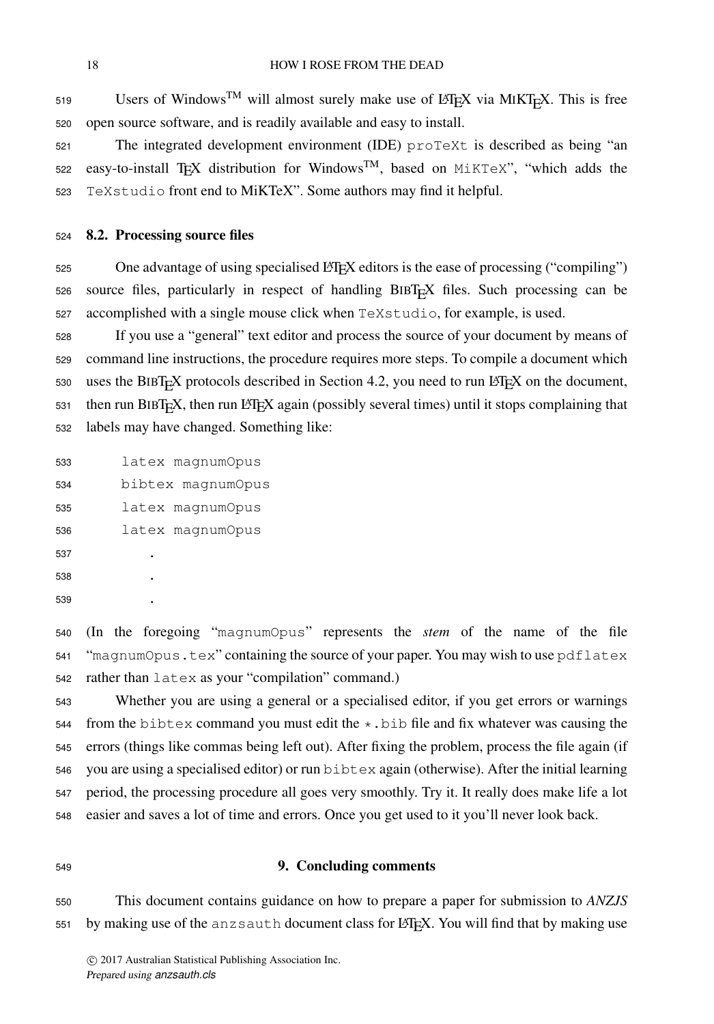Users of Windows<sup>TM</sup> will almost surely make use of L<sup>AT</sup>EX via MIKT<sub>E</sub>X. This is free open source software, and is readily available and easy to install.

 The integrated development environment (IDE) proTeXt is described as being "an 522 easy-to-install T<sub>E</sub>X distribution for Windows<sup>TM</sup>, based on MiKTeX", "which adds the TeXstudio front end to MiKTeX". Some authors may find it helpful.

# 8.2. Processing source files

525 One advantage of using specialised LATEX editors is the ease of processing ("compiling")  $s26$  source files, particularly in respect of handling BIBT<sub>E</sub>X files. Such processing can be accomplished with a single mouse click when TeXstudio, for example, is used.

 If you use a "general" text editor and process the source of your document by means of command line instructions, the procedure requires more steps. To compile a document which 530 uses the BIBT<sub>E</sub>X protocols described in Section 4.2, you need to run LATEX on the document, then run BIBT<sub>E</sub>X, then run L<sup>AT</sup>EX again (possibly several times) until it stops complaining that labels may have changed. Something like:

 latex magnumOpus bibtex magnumOpus latex magnumOpus latex magnumOpus . . .

 (In the foregoing "magnumOpus" represents the *stem* of the name of the file "magnumOpus.tex" containing the source of your paper. You may wish to use pdflatex rather than latex as your "compilation" command.)

 Whether you are using a general or a specialised editor, if you get errors or warnings 544 from the bibtex command you must edit the  $\star$ . bib file and fix whatever was causing the errors (things like commas being left out). After fixing the problem, process the file again (if you are using a specialised editor) or run bibtex again (otherwise). After the initial learning period, the processing procedure all goes very smoothly. Try it. It really does make life a lot easier and saves a lot of time and errors. Once you get used to it you'll never look back.

#### 9. Concluding comments

 This document contains guidance on how to prepare a paper for submission to *ANZJS* 551 by making use of the anz sauth document class for LATEX. You will find that by making use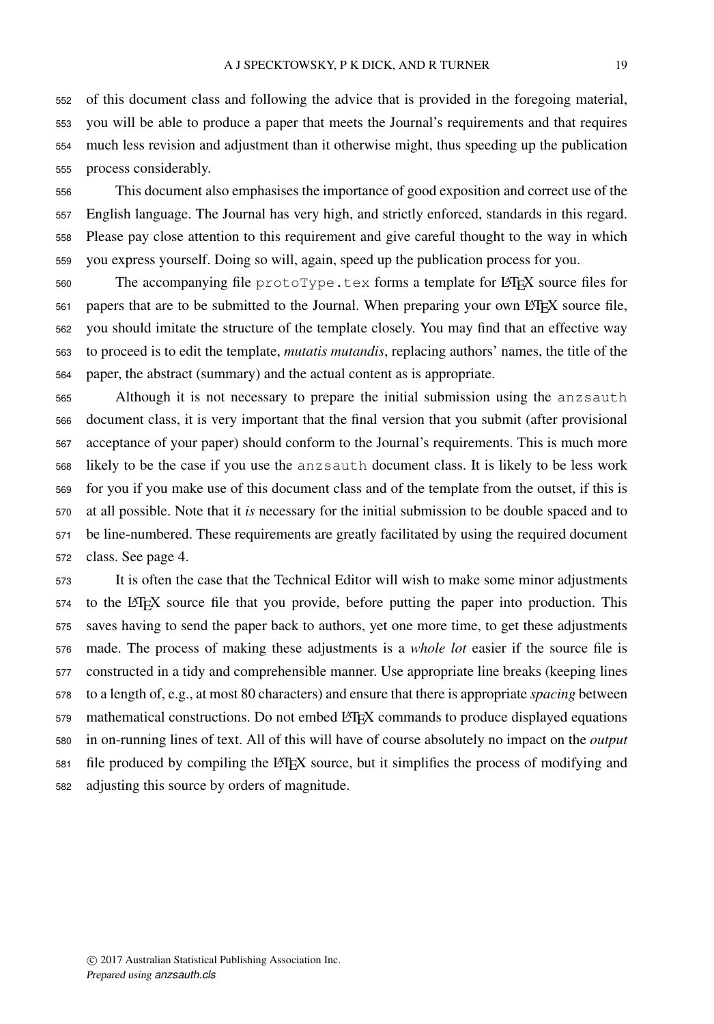of this document class and following the advice that is provided in the foregoing material, you will be able to produce a paper that meets the Journal's requirements and that requires much less revision and adjustment than it otherwise might, thus speeding up the publication process considerably.

 This document also emphasises the importance of good exposition and correct use of the English language. The Journal has very high, and strictly enforced, standards in this regard. Please pay close attention to this requirement and give careful thought to the way in which you express yourself. Doing so will, again, speed up the publication process for you.

560 The accompanying file protoType.tex forms a template for LATEX source files for papers that are to be submitted to the Journal. When preparing your own LATEX source file, you should imitate the structure of the template closely. You may find that an effective way to proceed is to edit the template, *mutatis mutandis*, replacing authors' names, the title of the paper, the abstract (summary) and the actual content as is appropriate.

 Although it is not necessary to prepare the initial submission using the anzsauth document class, it is very important that the final version that you submit (after provisional acceptance of your paper) should conform to the Journal's requirements. This is much more likely to be the case if you use the anzsauth document class. It is likely to be less work for you if you make use of this document class and of the template from the outset, if this is at all possible. Note that it *is* necessary for the initial submission to be double spaced and to be line-numbered. These requirements are greatly facilitated by using the required document class. See page 4.

 It is often the case that the Technical Editor will wish to make some minor adjustments to the LATEX source file that you provide, before putting the paper into production. This saves having to send the paper back to authors, yet one more time, to get these adjustments made. The process of making these adjustments is a *whole lot* easier if the source file is constructed in a tidy and comprehensible manner. Use appropriate line breaks (keeping lines to a length of, e.g., at most 80 characters) and ensure that there is appropriate *spacing* between 579 mathematical constructions. Do not embed LATEX commands to produce displayed equations in on-running lines of text. All of this will have of course absolutely no impact on the *output* file produced by compiling the LATEX source, but it simplifies the process of modifying and adjusting this source by orders of magnitude.